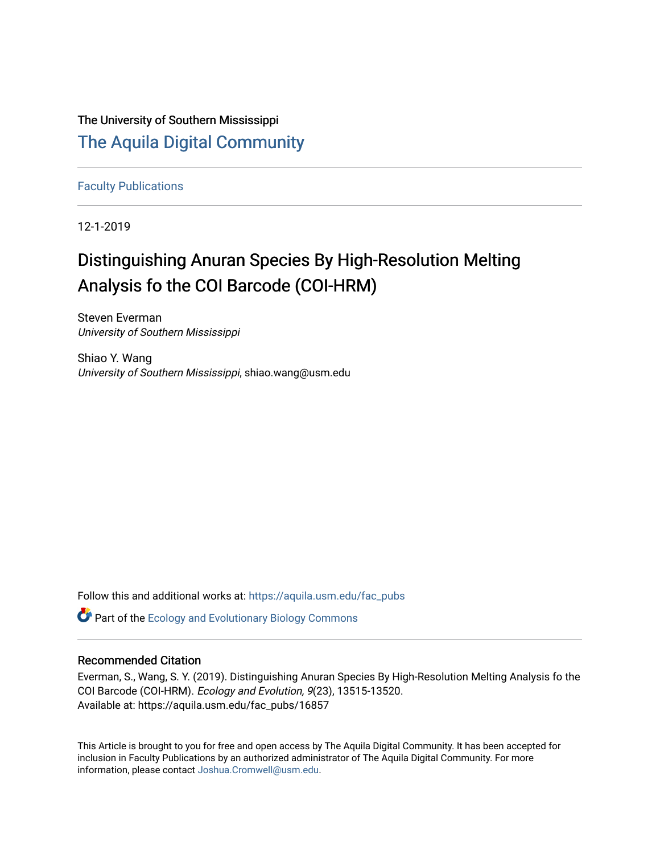The University of Southern Mississippi [The Aquila Digital Community](https://aquila.usm.edu/)

[Faculty Publications](https://aquila.usm.edu/fac_pubs)

12-1-2019

# Distinguishing Anuran Species By High-Resolution Melting Analysis fo the COI Barcode (COI-HRM)

Steven Everman University of Southern Mississippi

Shiao Y. Wang University of Southern Mississippi, shiao.wang@usm.edu

Follow this and additional works at: [https://aquila.usm.edu/fac\\_pubs](https://aquila.usm.edu/fac_pubs?utm_source=aquila.usm.edu%2Ffac_pubs%2F16857&utm_medium=PDF&utm_campaign=PDFCoverPages) 

**C** Part of the [Ecology and Evolutionary Biology Commons](http://network.bepress.com/hgg/discipline/14?utm_source=aquila.usm.edu%2Ffac_pubs%2F16857&utm_medium=PDF&utm_campaign=PDFCoverPages)

# Recommended Citation

Everman, S., Wang, S. Y. (2019). Distinguishing Anuran Species By High-Resolution Melting Analysis fo the COI Barcode (COI-HRM). Ecology and Evolution, 9(23), 13515-13520. Available at: https://aquila.usm.edu/fac\_pubs/16857

This Article is brought to you for free and open access by The Aquila Digital Community. It has been accepted for inclusion in Faculty Publications by an authorized administrator of The Aquila Digital Community. For more information, please contact [Joshua.Cromwell@usm.edu.](mailto:Joshua.Cromwell@usm.edu)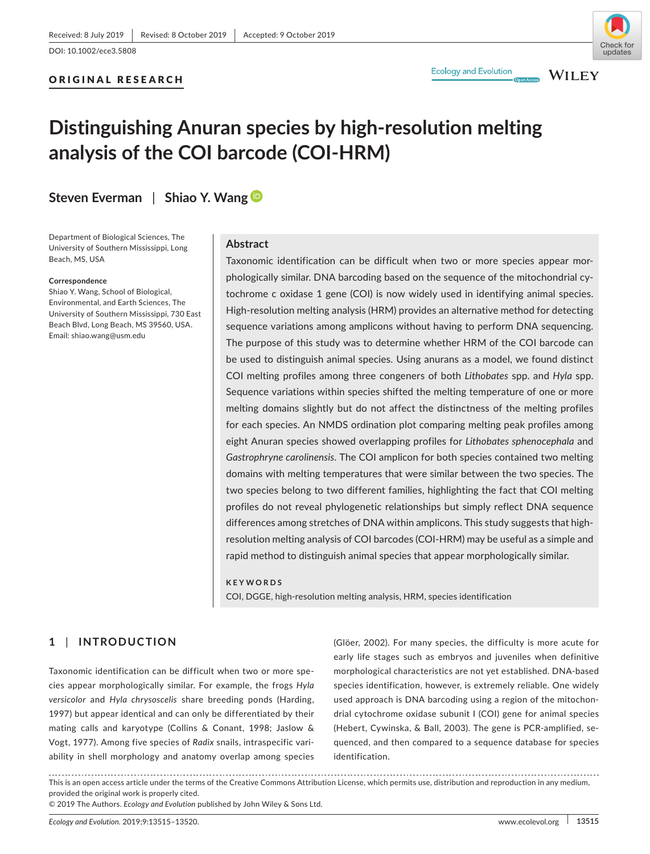## ORIGINAL RESEARCH



**WILEY** 

# **Distinguishing Anuran species by high‐resolution melting analysis of the COI barcode (COI‐HRM)**

**Steven Everman** | **Shiao Y. Wan[g](https://orcid.org/0000-0001-7893-6675)**

Department of Biological Sciences, The University of Southern Mississippi, Long Beach, MS, USA

#### **Correspondence**

Shiao Y. Wang, School of Biological, Environmental, and Earth Sciences, The University of Southern Mississippi, 730 East Beach Blvd, Long Beach, MS 39560, USA. Email: [shiao.wang@usm.edu](mailto:shiao.wang@usm.edu)

## **Abstract**

Taxonomic identification can be difficult when two or more species appear mor‐ phologically similar. DNA barcoding based on the sequence of the mitochondrial cytochrome c oxidase 1 gene (COI) is now widely used in identifying animal species. High-resolution melting analysis (HRM) provides an alternative method for detecting sequence variations among amplicons without having to perform DNA sequencing. The purpose of this study was to determine whether HRM of the COI barcode can be used to distinguish animal species. Using anurans as a model, we found distinct COI melting profiles among three congeners of both *Lithobates* spp. and *Hyla* spp. Sequence variations within species shifted the melting temperature of one or more melting domains slightly but do not affect the distinctness of the melting profiles for each species. An NMDS ordination plot comparing melting peak profiles among eight Anuran species showed overlapping profiles for *Lithobates sphenocephala* and *Gastrophryne carolinensis*. The COI amplicon for both species contained two melting domains with melting temperatures that were similar between the two species. The two species belong to two different families, highlighting the fact that COI melting profiles do not reveal phylogenetic relationships but simply reflect DNA sequence differences among stretches of DNA within amplicons. This study suggests that high‐ resolution melting analysis of COI barcodes (COI‐HRM) may be useful as a simple and rapid method to distinguish animal species that appear morphologically similar.

#### **KEYWORDS**

COI, DGGE, high‐resolution melting analysis, HRM, species identification

# **1** | **INTRODUCTION**

Taxonomic identification can be difficult when two or more spe‐ cies appear morphologically similar. For example, the frogs *Hyla versicolor* and *Hyla chrysoscelis* share breeding ponds (Harding, 1997) but appear identical and can only be differentiated by their mating calls and karyotype (Collins & Conant, 1998; Jaslow & Vogt, 1977). Among five species of *Radix* snails, intraspecific vari‐ ability in shell morphology and anatomy overlap among species (Glöer, 2002). For many species, the difficulty is more acute for early life stages such as embryos and juveniles when definitive morphological characteristics are not yet established. DNA‐based species identification, however, is extremely reliable. One widely used approach is DNA barcoding using a region of the mitochondrial cytochrome oxidase subunit I (COI) gene for animal species (Hebert, Cywinska, & Ball, 2003). The gene is PCR‐amplified, se‐ quenced, and then compared to a sequence database for species identification.

This is an open access article under the terms of the [Creative Commons Attribution](http://creativecommons.org/licenses/by/4.0/) License, which permits use, distribution and reproduction in any medium, provided the original work is properly cited.

© 2019 The Authors. *Ecology and Evolution* published by John Wiley & Sons Ltd.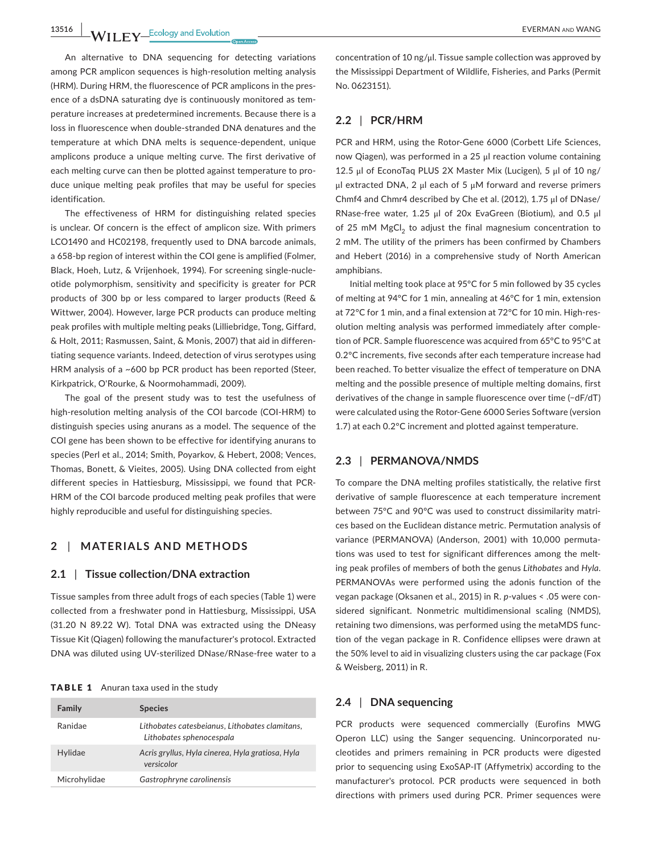**13516 WII FY** Ecology and Evolution **CONSUMPTER AND THE EVERMAN AND WANG** 

An alternative to DNA sequencing for detecting variations among PCR amplicon sequences is high‐resolution melting analysis (HRM). During HRM, the fluorescence of PCR amplicons in the pres‐ ence of a dsDNA saturating dye is continuously monitored as temperature increases at predetermined increments. Because there is a loss in fluorescence when double‐stranded DNA denatures and the temperature at which DNA melts is sequence‐dependent, unique amplicons produce a unique melting curve. The first derivative of each melting curve can then be plotted against temperature to pro‐ duce unique melting peak profiles that may be useful for species identification.

The effectiveness of HRM for distinguishing related species is unclear. Of concern is the effect of amplicon size. With primers LCO1490 and HC02198, frequently used to DNA barcode animals, a 658‐bp region of interest within the COI gene is amplified (Folmer, Black, Hoeh, Lutz, & Vrijenhoek, 1994). For screening single-nucleotide polymorphism, sensitivity and specificity is greater for PCR products of 300 bp or less compared to larger products (Reed & Wittwer, 2004). However, large PCR products can produce melting peak profiles with multiple melting peaks (Lilliebridge, Tong, Giffard, & Holt, 2011; Rasmussen, Saint, & Monis, 2007) that aid in differen‐ tiating sequence variants. Indeed, detection of virus serotypes using HRM analysis of a ~600 bp PCR product has been reported (Steer, Kirkpatrick, O'Rourke, & Noormohammadi, 2009).

The goal of the present study was to test the usefulness of high-resolution melting analysis of the COI barcode (COI-HRM) to distinguish species using anurans as a model. The sequence of the COI gene has been shown to be effective for identifying anurans to species (Perl et al., 2014; Smith, Poyarkov, & Hebert, 2008; Vences, Thomas, Bonett, & Vieites, 2005). Using DNA collected from eight different species in Hattiesburg, Mississippi, we found that PCR‐ HRM of the COI barcode produced melting peak profiles that were highly reproducible and useful for distinguishing species.

### **2** | **MATERIALS AND METHODS**

#### **2.1** | **Tissue collection/DNA extraction**

Tissue samples from three adult frogs of each species (Table 1) were collected from a freshwater pond in Hattiesburg, Mississippi, USA (31.20 N 89.22 W). Total DNA was extracted using the DNeasy Tissue Kit (Qiagen) following the manufacturer's protocol. Extracted DNA was diluted using UV‐sterilized DNase/RNase‐free water to a

|  |  |  |  | TABLE 1 Anuran taxa used in the study |  |  |  |  |  |  |
|--|--|--|--|---------------------------------------|--|--|--|--|--|--|
|--|--|--|--|---------------------------------------|--|--|--|--|--|--|

| Family       | <b>Species</b>                                                             |
|--------------|----------------------------------------------------------------------------|
| Ranidae      | Lithobates catesbeianus, Lithobates clamitans,<br>Lithobates sphenocespala |
| Hylidae      | Acris gryllus, Hyla cinerea, Hyla gratiosa, Hyla<br>versicolor             |
| Microhylidae | Gastrophryne carolinensis                                                  |

concentration of 10 ng/μl. Tissue sample collection was approved by

### **2.2** | **PCR/HRM**

No. 0623151).

PCR and HRM, using the Rotor‐Gene 6000 (Corbett Life Sciences, now Qiagen), was performed in a 25 μl reaction volume containing 12.5 μl of EconoTaq PLUS 2X Master Mix (Lucigen), 5 μl of 10 ng/ μl extracted DNA, 2 μl each of 5 μM forward and reverse primers Chmf4 and Chmr4 described by Che et al. (2012), 1.75 μl of DNase/ RNase‐free water, 1.25 μl of 20x EvaGreen (Biotium), and 0.5 μl of 25 mM  $MgCl<sub>2</sub>$  to adjust the final magnesium concentration to 2 mM. The utility of the primers has been confirmed by Chambers and Hebert (2016) in a comprehensive study of North American amphibians.

the Mississippi Department of Wildlife, Fisheries, and Parks (Permit

Initial melting took place at 95°C for 5 min followed by 35 cycles of melting at 94°C for 1 min, annealing at 46°C for 1 min, extension at 72°C for 1 min, and a final extension at 72°C for 10 min. High-resolution melting analysis was performed immediately after comple‐ tion of PCR. Sample fluorescence was acquired from 65°C to 95°C at 0.2°C increments, five seconds after each temperature increase had been reached. To better visualize the effect of temperature on DNA melting and the possible presence of multiple melting domains, first derivatives of the change in sample fluorescence over time (−dF/dT) were calculated using the Rotor‐Gene 6000 Series Software (version 1.7) at each 0.2°C increment and plotted against temperature.

#### **2.3** | **PERMANOVA/NMDS**

To compare the DNA melting profiles statistically, the relative first derivative of sample fluorescence at each temperature increment between 75°C and 90°C was used to construct dissimilarity matri‐ ces based on the Euclidean distance metric. Permutation analysis of variance (PERMANOVA) (Anderson, 2001) with 10,000 permuta‐ tions was used to test for significant differences among the melt‐ ing peak profiles of members of both the genus *Lithobates* and *Hyla*. PERMANOVAs were performed using the adonis function of the vegan package (Oksanen et al., 2015) in R. *p*-values < .05 were considered significant. Nonmetric multidimensional scaling (NMDS), retaining two dimensions, was performed using the metaMDS func‐ tion of the vegan package in R. Confidence ellipses were drawn at the 50% level to aid in visualizing clusters using the car package (Fox & Weisberg, 2011) in R.

#### **2.4** | **DNA sequencing**

PCR products were sequenced commercially (Eurofins MWG Operon LLC) using the Sanger sequencing. Unincorporated nu‐ cleotides and primers remaining in PCR products were digested prior to sequencing using ExoSAP‐IT (Affymetrix) according to the manufacturer's protocol. PCR products were sequenced in both directions with primers used during PCR. Primer sequences were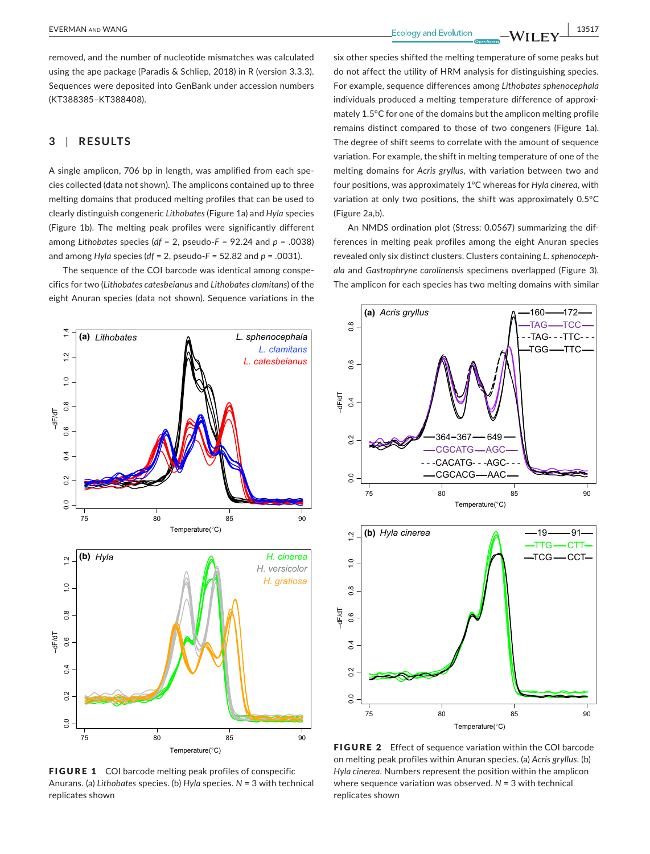**EVERMAN** AND WANG **13517** 

removed, and the number of nucleotide mismatches was calculated using the ape package (Paradis & Schliep, 2018) in R (version 3.3.3). Sequences were deposited into GenBank under accession numbers ([KT388385–](info:ddbj-embl-genbank/KT388385)[KT388408\)](info:ddbj-embl-genbank/KT388408).

## **3** | **RESULTS**

A single amplicon, 706 bp in length, was amplified from each spe‐ cies collected (data not shown). The amplicons contained up to three melting domains that produced melting profiles that can be used to clearly distinguish congeneric *Lithobates* (Figure 1a) and *Hyla* species (Figure 1b). The melting peak profiles were significantly different among *Lithobates* species (*df* = 2, pseudo‐*F* = 92.24 and *p* = .0038) and among *Hyla* species (*df* = 2, pseudo‐*F* = 52.82 and *p* = .0031).

The sequence of the COI barcode was identical among conspe‐ cifics for two (*Lithobates catesbeianus* and *Lithobates clamitans*) of the eight Anuran species (data not shown). Sequence variations in the



FIGURE 1 COI barcode melting peak profiles of conspecific Anurans. (a) *Lithobates* species. (b) *Hyla* species. *N* = 3 with technical replicates shown

six other species shifted the melting temperature of some peaks but do not affect the utility of HRM analysis for distinguishing species. For example, sequence differences among *Lithobates sphenocephala* individuals produced a melting temperature difference of approximately 1.5°C for one of the domains but the amplicon melting profile remains distinct compared to those of two congeners (Figure 1a). The degree of shift seems to correlate with the amount of sequence variation. For example, the shift in melting temperature of one of the melting domains for *Acris gryllus,* with variation between two and four positions, was approximately 1°C whereas for *Hyla cinerea*, with variation at only two positions, the shift was approximately 0.5°C (Figure 2a,b).

An NMDS ordination plot (Stress: 0.0567) summarizing the dif‐ ferences in melting peak profiles among the eight Anuran species revealed only six distinct clusters. Clusters containing *L. sphenoceph‐ ala* and *Gastrophryne carolinensis* specimens overlapped (Figure 3). The amplicon for each species has two melting domains with similar



FIGURE 2 Effect of sequence variation within the COI barcode on melting peak profiles within Anuran species. (a) *Acris gryllus*. (b) *Hyla cinerea*. Numbers represent the position within the amplicon where sequence variation was observed. *N* = 3 with technical replicates shown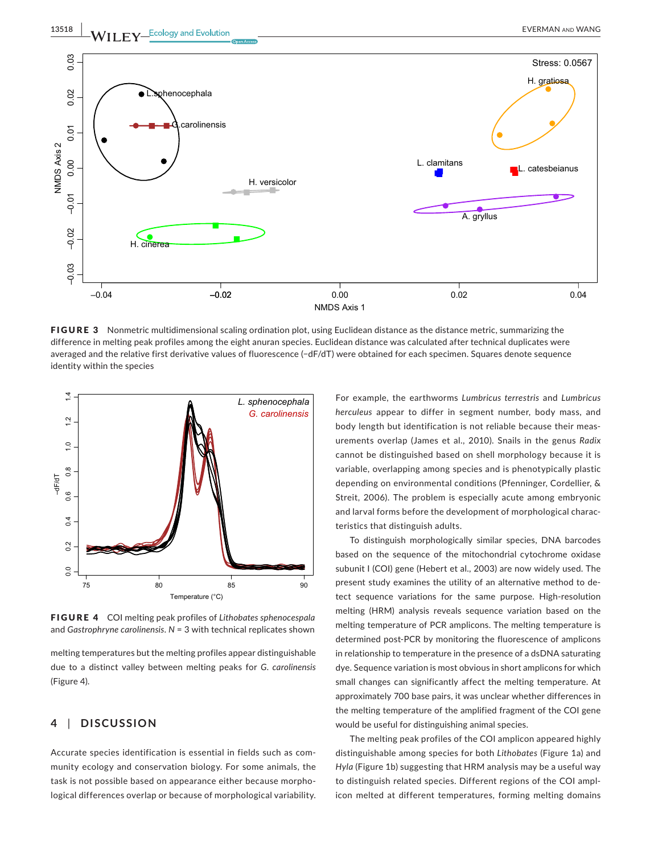

FIGURE 3 Nonmetric multidimensional scaling ordination plot, using Euclidean distance as the distance metric, summarizing the difference in melting peak profiles among the eight anuran species. Euclidean distance was calculated after technical duplicates were averaged and the relative first derivative values of fluorescence (−dF/dT) were obtained for each specimen. Squares denote sequence identity within the species



FIGURE 4 COI melting peak profiles of *Lithobates sphenocespala* and *Gastrophryne carolinensis*. *N* = 3 with technical replicates shown

melting temperatures but the melting profiles appear distinguishable due to a distinct valley between melting peaks for *G. carolinensis* (Figure 4).

## **4** | **DISCUSSION**

Accurate species identification is essential in fields such as com‐ munity ecology and conservation biology. For some animals, the task is not possible based on appearance either because morpho‐ logical differences overlap or because of morphological variability.

For example, the earthworms *Lumbricus terrestris* and *Lumbricus herculeus* appear to differ in segment number, body mass, and body length but identification is not reliable because their meas‐ urements overlap (James et al., 2010). Snails in the genus *Radix* cannot be distinguished based on shell morphology because it is variable, overlapping among species and is phenotypically plastic depending on environmental conditions (Pfenninger, Cordellier, & Streit, 2006). The problem is especially acute among embryonic and larval forms before the development of morphological characteristics that distinguish adults.

To distinguish morphologically similar species, DNA barcodes based on the sequence of the mitochondrial cytochrome oxidase subunit I (COI) gene (Hebert et al., 2003) are now widely used. The present study examines the utility of an alternative method to de‐ tect sequence variations for the same purpose. High-resolution melting (HRM) analysis reveals sequence variation based on the melting temperature of PCR amplicons. The melting temperature is determined post‐PCR by monitoring the fluorescence of amplicons in relationship to temperature in the presence of a dsDNA saturating dye. Sequence variation is most obvious in short amplicons for which small changes can significantly affect the melting temperature. At approximately 700 base pairs, it was unclear whether differences in the melting temperature of the amplified fragment of the COI gene would be useful for distinguishing animal species.

The melting peak profiles of the COI amplicon appeared highly distinguishable among species for both *Lithobates* (Figure 1a) and *Hyla* (Figure 1b) suggesting that HRM analysis may be a useful way to distinguish related species. Different regions of the COI ampl‐ icon melted at different temperatures, forming melting domains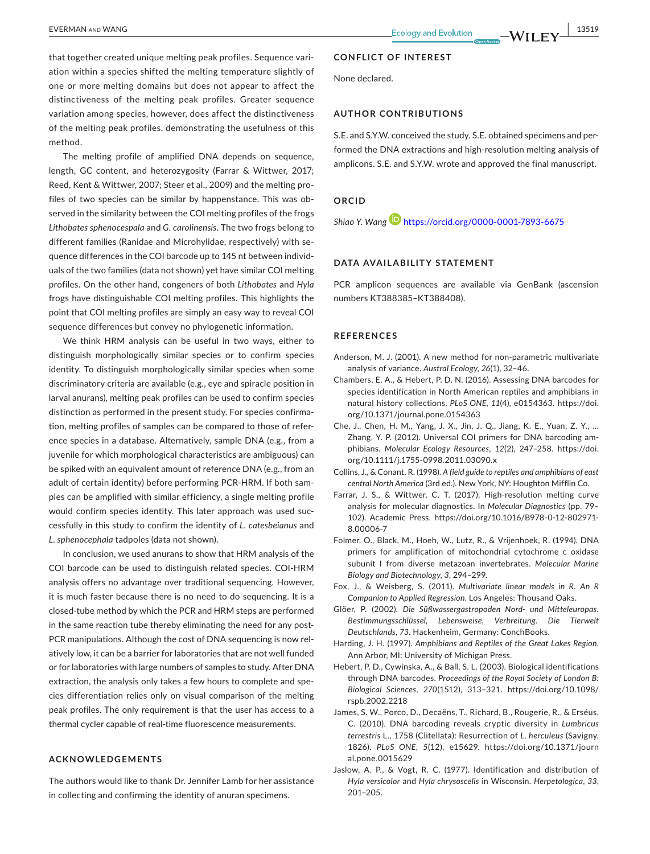that together created unique melting peak profiles. Sequence vari‐ ation within a species shifted the melting temperature slightly of one or more melting domains but does not appear to affect the distinctiveness of the melting peak profiles. Greater sequence variation among species, however, does affect the distinctiveness of the melting peak profiles, demonstrating the usefulness of this method.

The melting profile of amplified DNA depends on sequence, length, GC content, and heterozygosity (Farrar & Wittwer, 2017; Reed, Kent & Wittwer, 2007; Steer et al., 2009) and the melting pro‐ files of two species can be similar by happenstance. This was ob‐ served in the similarity between the COI melting profiles of the frogs *Lithobates sphenocespala* and *G. carolinensis*. The two frogs belong to different families (Ranidae and Microhylidae, respectively) with se‐ quence differences in the COI barcode up to 145 nt between individ‐ uals of the two families (data not shown) yet have similar COI melting profiles. On the other hand, congeners of both *Lithobates* and *Hyla* frogs have distinguishable COI melting profiles. This highlights the point that COI melting profiles are simply an easy way to reveal COI sequence differences but convey no phylogenetic information.

We think HRM analysis can be useful in two ways, either to distinguish morphologically similar species or to confirm species identity. To distinguish morphologically similar species when some discriminatory criteria are available (e.g., eye and spiracle position in larval anurans), melting peak profiles can be used to confirm species distinction as performed in the present study. For species confirma‐ tion, melting profiles of samples can be compared to those of refer‐ ence species in a database. Alternatively, sample DNA (e.g., from a juvenile for which morphological characteristics are ambiguous) can be spiked with an equivalent amount of reference DNA (e.g., from an adult of certain identity) before performing PCR-HRM. If both samples can be amplified with similar efficiency, a single melting profile would confirm species identity. This later approach was used suc‐ cessfully in this study to confirm the identity of *L. catesbeianus* and *L. sphenocephala* tadpoles (data not shown).

In conclusion, we used anurans to show that HRM analysis of the COI barcode can be used to distinguish related species. COI‐HRM analysis offers no advantage over traditional sequencing. However, it is much faster because there is no need to do sequencing. It is a closed-tube method by which the PCR and HRM steps are performed in the same reaction tube thereby eliminating the need for any post-PCR manipulations. Although the cost of DNA sequencing is now relatively low, it can be a barrier for laboratories that are not well funded or for laboratories with large numbers of samples to study. After DNA extraction, the analysis only takes a few hours to complete and spe‐ cies differentiation relies only on visual comparison of the melting peak profiles. The only requirement is that the user has access to a thermal cycler capable of real‐time fluorescence measurements.

### **ACKNOWLEDGEMENTS**

The authors would like to thank Dr. Jennifer Lamb for her assistance in collecting and confirming the identity of anuran specimens.

#### **CONFLICT OF INTEREST**

None declared.

#### **AUTHOR CONTRIBUTIONS**

S.E. and S.Y.W. conceived the study. S.E. obtained specimens and per‐ formed the DNA extractions and high‐resolution melting analysis of amplicons. S.E. and S.Y.W. wrote and approved the final manuscript.

#### **ORCID**

*Shiao Y. Wan[g](https://orcid.org/0000-0001-7893-6675)* <https://orcid.org/0000-0001-7893-6675>

#### **DATA AVAILABILITY STATEMENT**

PCR amplicon sequences are available via GenBank (ascension numbers [KT388385](info:ddbj-embl-genbank/KT388385)–[KT388408](info:ddbj-embl-genbank/KT388408)).

#### **REFERENCES**

- Anderson, M. J. (2001). A new method for non-parametric multivariate analysis of variance. *Austral Ecology*, *26*(1), 32–46.
- Chambers, E. A., & Hebert, P. D. N. (2016). Assessing DNA barcodes for species identification in North American reptiles and amphibians in natural history collections. *PLoS ONE*, *11*(4), e0154363. [https://doi.](https://doi.org/10.1371/journal.pone.0154363) [org/10.1371/journal.pone.0154363](https://doi.org/10.1371/journal.pone.0154363)
- Che, J., Chen, H. M., Yang, J. X., Jin, J. Q., Jiang, K. E., Yuan, Z. Y., … Zhang, Y. P. (2012). Universal COI primers for DNA barcoding am‐ phibians. *Molecular Ecology Resources*, *12*(2), 247–258. [https://doi.](https://doi.org/10.1111/j.1755-0998.2011.03090.x) [org/10.1111/j.1755-0998.2011.03090.x](https://doi.org/10.1111/j.1755-0998.2011.03090.x)
- Collins, J., & Conant, R. (1998). *A field guide to reptiles and amphibians of east central North America* (3rd ed.). New York, NY: Houghton Mifflin Co.
- Farrar, J. S., & Wittwer, C. T. (2017). High-resolution melting curve analysis for molecular diagnostics. In *Molecular Diagnostics* (pp. 79– 102). Academic Press. [https://doi.org/10.1016/B978-0-12-802971-](https://doi.org/10.1016/B978-0-12-802971-8.00006-7)[8.00006-7](https://doi.org/10.1016/B978-0-12-802971-8.00006-7)
- Folmer, O., Black, M., Hoeh, W., Lutz, R., & Vrijenhoek, R. (1994). DNA primers for amplification of mitochondrial cytochrome c oxidase subunit I from diverse metazoan invertebrates. *Molecular Marine Biology and Biotechnology*, *3*, 294–299.
- Fox, J., & Weisberg, S. (2011). *Multivariate linear models in R. An R Companion to Applied Regression*. Los Angeles: Thousand Oaks.
- Glöer, P. (2002). *Die Süßwassergastropoden Nord‐ und Mitteleuropas. Bestimmungsschlüssel, Lebensweise, Verbreitung. Die Tierwelt Deutschlands, 73*. Hackenheim, Germany: ConchBooks.
- Harding, J. H. (1997). *Amphibians and Reptiles of the Great Lakes Region*. Ann Arbor, MI: University of Michigan Press.
- Hebert, P. D., Cywinska, A., & Ball, S. L. (2003). Biological identifications through DNA barcodes. *Proceedings of the Royal Society of London B: Biological Sciences*, *270*(1512), 313–321. [https://doi.org/10.1098/](https://doi.org/10.1098/rspb.2002.2218) [rspb.2002.2218](https://doi.org/10.1098/rspb.2002.2218)
- James, S. W., Porco, D., Decaëns, T., Richard, B., Rougerie, R., & Erséus, C. (2010). DNA barcoding reveals cryptic diversity in *Lumbricus terrestris* L., 1758 (Clitellata): Resurrection of *L. herculeus* (Savigny, 1826). *PLoS ONE*, *5*(12), e15629. [https://doi.org/10.1371/journ](https://doi.org/10.1371/journal.pone.0015629) [al.pone.0015629](https://doi.org/10.1371/journal.pone.0015629)
- Jaslow, A. P., & Vogt, R. C. (1977). Identification and distribution of *Hyla versicolor* and *Hyla chrysoscelis* in Wisconsin. *Herpetologica*, *33*, 201–205.